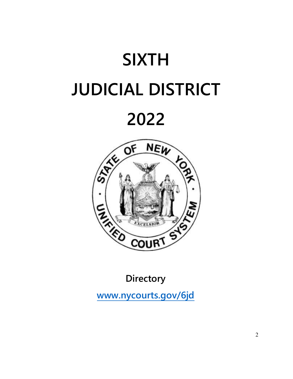



**Directory** 

**[www.nycourts.gov/6jd](http://www.nycourts.gov/6jd)**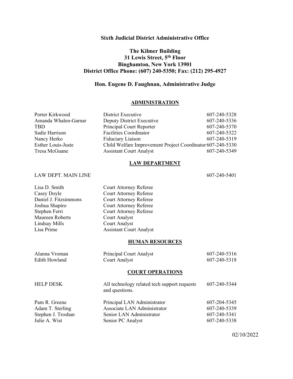## **Sixth Judicial District Administrative Office**

## **The Kilmer Building 31 Lewis Street, 5th Floor Binghamton, New York 13901 District Office Phone: (607) 240-5350; Fax: (212) 295-4927**

## **Hon. Eugene D. Faughnan, Administrative Judge**

## **ADMINISTRATION**

| Porter Kirkwood      | District Executive                                         | 607-240-5328 |
|----------------------|------------------------------------------------------------|--------------|
| Amanda Whalen-Garnar | Deputy District Executive                                  | 607-240-5336 |
| <b>TBD</b>           | Principal Court Reporter                                   | 607-240-5370 |
| Sadie Harrison       | <b>Facilities Coordinator</b>                              | 607-240-5322 |
| Nancy Herko          | Fiduciary Liaison                                          | 607-240-5319 |
| Esther Louis-Juste   | Child Welfare Improvement Project Coordinator 607-240-5330 |              |
| Tresa McGuane        | <b>Assistant Court Analyst</b>                             | 607-240-5349 |

## **LAW DEPARTMENT**

### LAW DEPT. MAIN LINE 607-240-5401

Lisa D. Smith Court Attorney Referee Casey Doyle<br>
Court Attorney Referee<br>
Court Attorney Referee Daniel J. Fitzsimmons Court Attorney Referee Court Attorney Referee Stephen Ferri Court Attorney Referee Maureen Roberts Court Analyst Lindsay Mills Court Analyst Lisa Prime Assistant Court Analyst

#### **HUMAN RESOURCES**

| Alanna Vroman | Principal Court Analyst | 607-240-5316 |
|---------------|-------------------------|--------------|
| Edith Howland | Court Analyst           | 607-240-5318 |
|               |                         |              |

## **COURT OPERATIONS**

| <b>HELP DESK</b>   | All technology related tech support requests<br>and questions. | 607-240-5344 |
|--------------------|----------------------------------------------------------------|--------------|
| Pam R. Greene      | Principal LAN Administrator                                    | 607-204-5345 |
| Adam T. Sterling   | Associate LAN Administrator                                    | 607-240-5339 |
| Stephen J. Troshan | Senior LAN Administrator                                       | 607-240-5341 |
| Julie A. Wist      | Senior PC Analyst                                              | 607-240-5338 |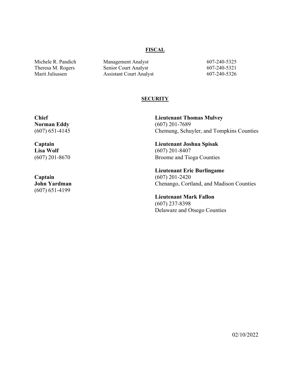#### **FISCAL**

Michele R. Pandich Management Analyst 607-240-5325 Theresa M. Rogers Senior Court Analyst 607-240-5321 Marit Juliussen Assistant Court Analyst 607-240-5326

## **SECURITY**

**Chief Norman Eddy** (607) 651-4145

**Captain Lisa Wolf** (607) 201-8670

**Captain John Yardman** (607) 651-4199

**Lieutenant Thomas Mulvey** (607) 201-7689 Chemung, Schuyler, and Tompkins Counties

**Lieutenant Joshua Spisak** (607) 201-8407 Broome and Tioga Counties

**Lieutenant Eric Burlingame** (607) 201-2420 Chenango, Cortland, and Madison Counties

**Lieutenant Mark Fallon** (607) 237-8398 Delaware and Otsego Counties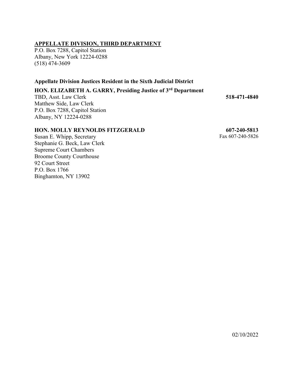## **APPELLATE DIVISION, THIRD DEPARTMENT**

P.O. Box 7288, Capitol Station Albany, New York 12224-0288 (518) 474-3609

## **Appellate Division Justices Resident in the Sixth Judicial District**

## **HON. ELIZABETH A. GARRY, Presiding Justice of 3rd Department**

TBD, Asst. Law Clerk Matthew Side, Law Clerk P.O. Box 7288, Capitol Station Albany, NY 12224-0288

# **518-471-4840**

## **HON. MOLLY REYNOLDS FITZGERALD**

 **607-240-5813** Fax 607-240-5826

Susan E. Whipp, Secretary Stephanie G. Beck, Law Clerk Supreme Court Chambers Broome County Courthouse 92 Court Street P.O. Box 1766 Binghamton, NY 13902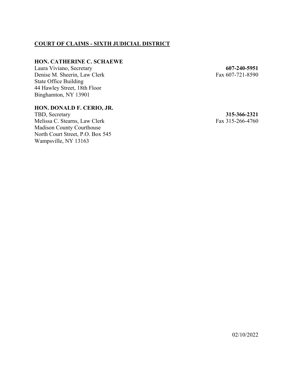## **COURT OF CLAIMS - SIXTH JUDICIAL DISTRICT**

## **HON. CATHERINE C. SCHAEWE**

Laura Viviano, Secretary Denise M. Sheerin, Law Clerk State Office Building 44 Hawley Street, 18th Floor Binghamton, NY 13901

## **HON. DONALD F. CERIO, JR.**

TBD, Secretary Melissa C. Stearns, Law Clerk Madison County Courthouse North Court Street, P.O. Box 545 Wampsville, NY 13163

**607-240-5951** Fax 607-721-8590

**315-366-2321** Fax 315-266-4760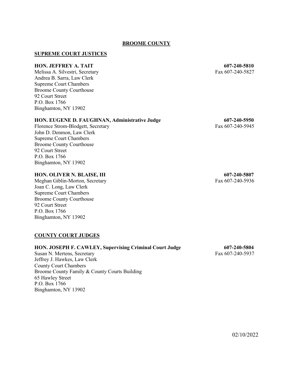## **BROOME COUNTY**

## **SUPREME COURT JUSTICES**

#### **HON. JEFFREY A. TAIT 607-240-5810**

Melissa A. Silvestri, Secretary Fax 607-240-5827 Andrea B. Sarra, Law Clerk Supreme Court Chambers Broome County Courthouse 92 Court Street P.O. Box 1766 Binghamton, NY 13902

#### **HON. EUGENE D. FAUGHNAN, Administrative Judge 607-240-5950**

Florence Strom-Blodgett, Secretary Fax 607-240-5945 John D. Denmon, Law Clerk Supreme Court Chambers Broome County Courthouse 92 Court Street P.O. Box 1766 Binghamton, NY 13902

## **HON. OLIVER N. BLAISE, III 607-240-5807**

Meghan Giblin-Morton, Secretary Fax 607-240-5936 Joan C. Long, Law Clerk Supreme Court Chambers Broome County Courthouse 92 Court Street P.O. Box 1766 Binghamton, NY 13902

#### **COUNTY COURT JUDGES**

## **HON. JOSEPH F. CAWLEY, Supervising Criminal Court Judge 607-240-5804**

Susan N. Mertens, Secretary Fax 607-240-5937 Jeffrey J. Hawkes, Law Clerk County Court Chambers Broome County Family & County Courts Building 65 Hawley Street P.O. Box 1766 Binghamton, NY 13902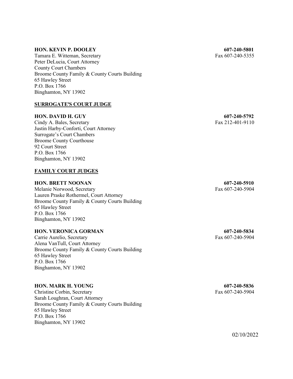## **HON. KEVIN P. DOOLEY 607-240-5801**

Tamara E. Witteman, Secretary Fax 607-240-5355 Peter DeLucia, Court Attorney County Court Chambers Broome County Family & County Courts Building 65 Hawley Street P.O. Box 1766 Binghamton, NY 13902

## **SURROGATE'S COURT JUDGE**

## **HON. DAVID H. GUY 607-240-5792**

Cindy A. Bales, Secretary Fax 212-401-9110 Justin Harby-Conforti, Court Attorney Surrogate's Court Chambers Broome County Courthouse 92 Court Street P.O. Box 1766 Binghamton, NY 13902

## **FAMILY COURT JUDGES**

#### **HON. BRETT NOONAN 607-240-5910**

Melanie Norwood, Secretary Fax 607-240-5904 Lauren Praske Rothermel, Court Attorney Broome County Family & County Courts Building 65 Hawley Street P.O. Box 1766 Binghamton, NY 13902

### **HON. VERONICA GORMAN 607-240-5834**

Carrie Aurelio, Secretary Fax 607-240-5904 Alena VanTull, Court Attorney Broome County Family & County Courts Building 65 Hawley Street P.O. Box 1766 Binghamton, NY 13902

#### **HON. MARK H. YOUNG 607-240-5836**

Christine Corbin, Secretary Fax 607-240-5904 Sarah Loughran, Court Attorney Broome County Family & County Courts Building 65 Hawley Street P.O. Box 1766 Binghamton, NY 13902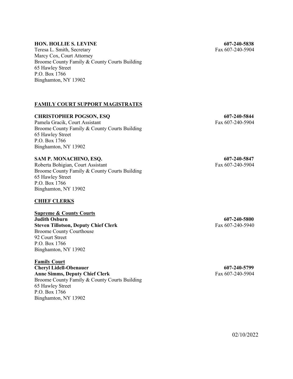#### **HON. HOLLIE S. LEVINE 607-240-5838**

Teresa L. Smith, Secretary Fax 607-240-5904 Marcy Cox, Court Attorney Broome County Family & County Courts Building 65 Hawley Street P.O. Box 1766 Binghamton, NY 13902

## **FAMILY COURT SUPPORT MAGISTRATES**

## **CHRISTOPHER POGSON, ESQ 607-240-5844**

Pamela Gracik, Court Assistant Fax 607-240-5904 Broome County Family & County Courts Building 65 Hawley Street P.O. Box 1766 Binghamton, NY 13902

## **SAM P. MONACHINO, ESQ. 607-240-5847**

Roberta Bohigian, Court Assistant Fax 607-240-5904 Broome County Family & County Courts Building 65 Hawley Street P.O. Box 1766 Binghamton, NY 13902

## **CHIEF CLERKS**

**Supreme & County Courts Judith Osburn 607-240-5800 Steven Tillotson, Deputy Chief Clerk** Fax 607-240-5940 Broome County Courthouse 92 Court Street P.O. Box 1766 Binghamton, NY 13902

**Family Court Cheryl Lidell-Obenauer 607-240-5799** Anne Simms, Deputy Chief Clerk<br>
Fax 607-240-5904 Broome County Family & County Courts Building 65 Hawley Street P.O. Box 1766 Binghamton, NY 13902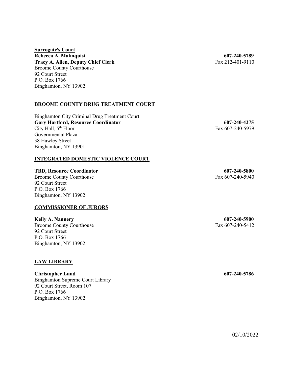## **<u>Surrogate's Court</u> Rebecca A. Malmquist 607-240-5789 Tracy A. Allen, Deputy Chief Clerk** Fax 212-401-9110 Broome County Courthouse 92 Court Street P.O. Box 1766 Binghamton, NY 13902

## **BROOME COUNTY DRUG TREATMENT COURT**

Binghamton City Criminal Drug Treatment Court **Gary Hartford, Resource Coordinator 607-240-4275** City Hall,  $5<sup>th</sup>$  Floor Fax 607-240-5979 Governmental Plaza 38 Hawley Street Binghamton, NY 13901

## **INTEGRATED DOMESTIC VIOLENCE COURT**

**TBD, Resource Coordinator 607-240-5800**

Broome County Courthouse Fax 607-240-5940 92 Court Street P.O. Box 1766 Binghamton, NY 13902

## **COMMISSIONER OF JURORS**

**Kelly A. Nannery 607-240-5900** Broome County Courthouse Fax 607-240-5412 92 Court Street P.O. Box 1766 Binghamton, NY 13902

## **LAW LIBRARY**

**Christopher Lund 607-240-5786** Binghamton Supreme Court Library 92 Court Street, Room 107 P.O. Box 1766 Binghamton, NY 13902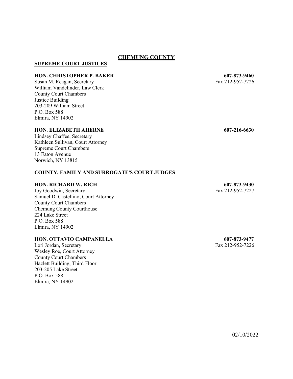## **CHEMUNG COUNTY**

## **SUPREME COURT JUSTICES**

### **HON. CHRISTOPHER P. BAKER 607-873-9460**

Susan M. Reagan, Secretary Fax 212-952-7226 William Vandelinder, Law Clerk County Court Chambers Justice Building 203-209 William Street P.O. Box 588 Elmira, NY 14902

## **HON. ELIZABETH AHERNE 607-216-6630**

Lindsey Chaffee, Secretary Kathleen Sullivan, Court Attorney Supreme Court Chambers 13 Eaton Avenue Norwich, NY 13815

## **COUNTY, FAMILY AND SURROGATE**=**S COURT JUDGES**

#### **HON. RICHARD W. RICH 607-873-9430**

Joy Goodwin, Secretary Fax 212-952-7227 Samuel D. Castellino, Court Attorney County Court Chambers Chemung County Courthouse 224 Lake Street P.O. Box 588 Elmira, NY 14902

#### **HON. OTTAVIO CAMPANELLA 607-873-9477**

Lori Jordan, Secretary Fax 212-952-7226 Wesley Roe, Court Attorney County Court Chambers Hazlett Building, Third Floor 203-205 Lake Street P.O. Box 588 Elmira, NY 14902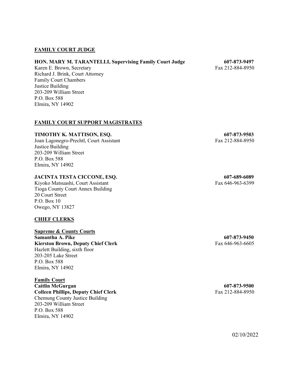## **FAMILY COURT JUDGE**

## **HON. MARY M. TARANTELLI, Supervising Family Court Judge 607-873-9497**

Karen E. Brown, Secretary Fax 212-884-8950 Richard J. Brink, Court Attorney Family Court Chambers Justice Building 203-209 William Street P.O. Box 588 Elmira, NY 14902

## **FAMILY COURT SUPPORT MAGISTRATES**

## **TIMOTHY K. MATTISON, ESQ. 607-873-9503**

Joan Lagonegro-Prechtl, Court Assistant Fax 212-884-8950 Justice Building 203-209 William Street P.O. Box 588 Elmira, NY 14902

## **JACINTA TESTA CICCONE, ESQ. 607-689-6089**

Kiyoko Matsuashi, Court Assistant Fax 646-963-6399 Fax 646-963-6399 Tioga County Court Annex Building 20 Court Street P.O. Box 10 Owego, NY 13827

## **CHIEF CLERKS**

## **Supreme & County Courts**

**Samantha A. Pike 607-873-9450** Kierston Brown, Deputy Chief Clerk<br>
Fax 646-963-6605 Hazlett Building, sixth floor 203-205 Lake Street P.O. Box 588 Elmira, NY 14902

**Family Court Caitlin McGurgan 607-873-9500 Colleen Phillips, Deputy Chief Clerk** Fax 212-884-8950 Chemung County Justice Building 203-209 William Street P.O. Box 588 Elmira, NY 14902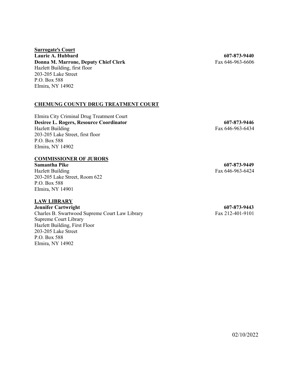## **<u>Surrogate's Court</u> Laurie A. Hubbard 607-873-9440 Donna M. Marrone, Deputy Chief Clerk** Fax 646-963-6606 Hazlett Building, first floor 203-205 Lake Street P.O. Box 588 Elmira, NY 14902

## **CHEMUNG COUNTY DRUG TREATMENT COURT**

Elmira City Criminal Drug Treatment Court **Desiree L. Rogers, Resource Coordinator 607-873-9446** Hazlett Building Fax 646-963-6434 203-205 Lake Street, first floor P.O. Box 588 Elmira, NY 14902

## **COMMISSIONER OF JURORS**

**Samantha Pike 607-873-9449** Hazlett Building Fax 646-963-6424 203-205 Lake Street, Room 622 P.O. Box 588 Elmira, NY 14901

#### **LAW LIBRARY**

**Jennifer Cartwright 607-873-9443** Charles B. Swartwood Supreme Court Law Library Fax 212-401-9101 Supreme Court Library Hazlett Building, First Floor 203-205 Lake Street P.O. Box 588 Elmira, NY 14902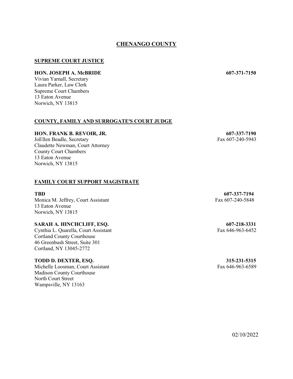## **CHENANGO COUNTY**

## **SUPREME COURT JUSTICE**

## **HON. JOSEPH A. McBRIDE 607-371-7150**

Vivian Yarnall, Secretary Laura Parker, Law Clerk Supreme Court Chambers 13 Eaton Avenue Norwich, NY 13815

#### **COUNTY, FAMILY AND SURROGATE'S COURT JUDGE**

#### **HON. FRANK B. REVOIR, JR. 607-337-7190**

JoEllen Beadle, Secretary Fax 607-240-5943 Claudette Newman, Court Attorney County Court Chambers 13 Eaton Avenue Norwich, NY 13815

## **FAMILY COURT SUPPORT MAGISTRATE**

#### **TBD 607-337-7194**

Monica M. Jeffrey, Court Assistant Fax 607-240-5848 13 Eaton Avenue Norwich, NY 13815

#### **SARAH A. HINCHCLIFF, ESQ. 607-218-3331**

Cynthia L. Quarella, Court Assistant Fax 646-963-6452 Cortland County Courthouse 46 Greenbush Street, Suite 301 Cortland, NY 13045-2772

### **TODD D. DEXTER, ESQ. 315-231-5315**

Michelle Loosman, Court Assistant Fax 646-963-6589 Madison County Courthouse North Court Street Wampsville, NY 13163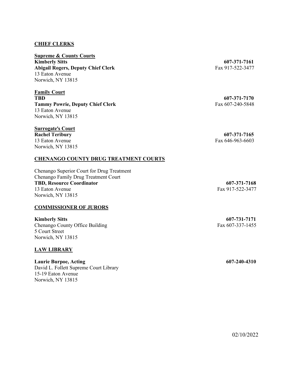## **CHIEF CLERKS**

**Supreme & County Courts Kimberly Sitts 607-371-7161** Abigail Rogers, Deputy Chief Clerk<br>
Fax 917-522-3477 13 Eaton Avenue Norwich, NY 13815

**Family Court TBD 607-371-7170 Tammy Powrie, Deputy Chief Clerk** Fax 607-240-5848 13 Eaton Avenue Norwich, NY 13815

## **Surrogate's Court**

13 Eaton Avenue Fax 646-963-6603 Norwich, NY 13815

## **CHENANGO COUNTY DRUG TREATMENT COURTS**

Chenango Superior Court for Drug Treatment Chenango Family Drug Treatment Court **TBD, Resource Coordinator 607-371-7168** 13 Eaton Avenue Fax 917-522-3477 Norwich, NY 13815

## **COMMISSIONER OF JURORS**

**Kimberly Sitts 607-731-7171** Chenango County Office Building Fax 607-337-1455 5 Court Street Norwich, NY 13815

## **LAW LIBRARY**

## **Laurie Burpoe, Acting 607-240-4310**

David L. Follett Supreme Court Library 15-19 Eaton Avenue Norwich, NY 13815

**Rachel Teribury 607-371-7165**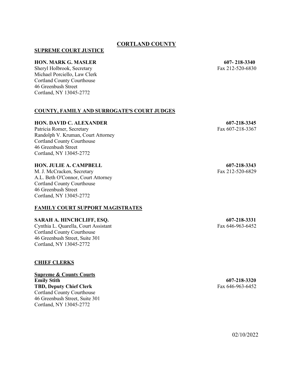## **CORTLAND COUNTY**

## **SUPREME COURT JUSTICE**

## **HON. MARK G. MASLER 607- 218-3340**

Sheryl Holbrook, Secretary Fax 212-520-6830 Michael Porciello, Law Clerk Cortland County Courthouse 46 Greenbush Street Cortland, NY 13045-2772

## **COUNTY, FAMILY AND SURROGATE'S COURT JUDGES**

## **HON. DAVID C. ALEXANDER 607-218-3345**

Patricia Romer, Secretary Fax 607-218-3367 Randolph V. Kruman, Court Attorney Cortland County Courthouse 46 Greenbush Street Cortland, NY 13045-2772

## **HON. JULIE A. CAMPBELL 607-218-3343**

M. J. McCracken, Secretary Fax 212-520-6829 A.L. Beth O'Connor, Court Attorney Cortland County Courthouse 46 Greenbush Street Cortland, NY 13045-2772

## **FAMILY COURT SUPPORT MAGISTRATES**

**SARAH A. HINCHCLIFF, ESQ.** 607-218-3331<br>
Cynthia L. Quarella, Court Assistant Fax 646-963-6452 Cynthia L. Quarella, Court Assistant Cortland County Courthouse 46 Greenbush Street, Suite 301 Cortland, NY 13045-2772

## **CHIEF CLERKS**

**Supreme & County Courts Emily Stith 607-218-3320 TBD, Deputy Chief Clerk** Fax 646-963-6452 Cortland County Courthouse 46 Greenbush Street, Suite 301 Cortland, NY 13045-2772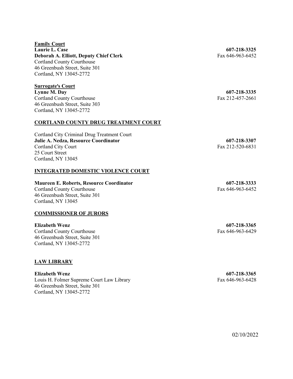#### **Family Court**

**Laurie L. Case 607-218-3325 Deborah A. Elliott, Deputy Chief Clerk** Fax 646-963-6452 Cortland County Courthouse 46 Greenbush Street, Suite 301 Cortland, NY 13045-2772

## **Surrogate's Court**

**Lynne M. Day 607-218-3335** Cortland County Courthouse Fax 212-457-2661 46 Greenbush Street, Suite 303 Cortland, NY 13045-2772

## **CORTLAND COUNTY DRUG TREATMENT COURT**

Cortland City Criminal Drug Treatment Court **Julie A. Nedza, Resource Coordinator 607-218-3307** Cortland City Court Fax 212-520-6831 25 Court Street Cortland, NY 13045

## **INTEGRATED DOMESTIC VIOLENCE COURT**

#### **Maureen E. Roberts, Resource Coordinator 607-218-3333**

Cortland County Courthouse Fax 646-963-6452 46 Greenbush Street, Suite 301 Cortland, NY 13045

## **COMMISSIONER OF JURORS**

Cortland County Courthouse Fax 646-963-6429 46 Greenbush Street, Suite 301 Cortland, NY 13045-2772

## **LAW LIBRARY**

**Elizabeth Wenz 607-218-3365** Louis H. Folmer Supreme Court Law Library Fax 646-963-6428 46 Greenbush Street, Suite 301 Cortland, NY 13045-2772

**Elizabeth Wenz 607-218-3365**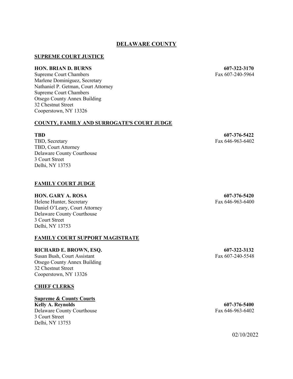## **DELAWARE COUNTY**

## **SUPREME COURT JUSTICE**

## **HON. BRIAN D. BURNS 607-322-3170**

Supreme Court Chambers Fax 607-240-5964 Marlene Dominiguez, Secretary Nathaniel P. Getman, Court Attorney Supreme Court Chambers Otsego County Annex Building 32 Chestnut Street Cooperstown, NY 13326

## **COUNTY, FAMILY AND SURROGATE'S COURT JUDGE**

TBD, Secretary Fax 646-963-6402 TBD, Court Attorney Delaware County Courthouse 3 Court Street Delhi, NY 13753

## **FAMILY COURT JUDGE**

## **HON. GARY A. ROSA 607-376-5420**

Helene Hunter, Secretary Fax 646-963-6400 Daniel O'Leary, Court Attorney Delaware County Courthouse 3 Court Street Delhi, NY 13753

## **FAMILY COURT SUPPORT MAGISTRATE**

## **RICHARD E. BROWN, ESQ. 607-322-3132**

Susan Bush, Court Assistant Fax 607-240-5548 Otsego County Annex Building 32 Chestnut Street Cooperstown, NY 13326

## **CHIEF CLERKS**

## **Supreme & County Courts**

**Kelly A. Reynolds 607-376-5400** Delaware County Courthouse Fax 646-963-6402 3 Court Street Delhi, NY 13753

**TBD 607-376-5422**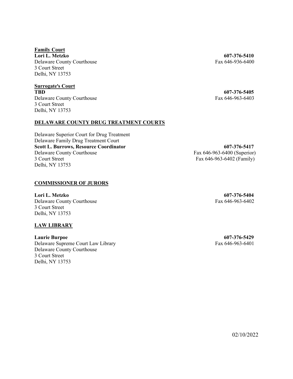**Family Court Lori L. Metzko 607-376-5410** Delaware County Courthouse Fax 646-936-6400 3 Court Street Delhi, NY 13753

**Surrogate's Court TBD 607-376-5405** Delaware County Courthouse Fax 646-963-6403 3 Court Street Delhi, NY 13753

## **DELAWARE COUNTY DRUG TREATMENT COURTS**

Delaware Superior Court for Drug Treatment Delaware Family Drug Treatment Court **Scott L. Burrows, Resource Coordinator 607-376-5417** Delaware County Courthouse Fax 646-963-6400 (Superior) 3 Court Street Fax 646-963-6402 (Family) Delhi, NY 13753

## **COMMISSIONER OF JURORS**

**Lori L. Metzko 607-376-5404** Delaware County Courthouse Fax 646-963-6402 3 Court Street Delhi, NY 13753

## **LAW LIBRARY**

**Laurie Burpoe 607-376-5429** Delaware Supreme Court Law Library Fax 646-963-6401 Delaware County Courthouse 3 Court Street Delhi, NY 13753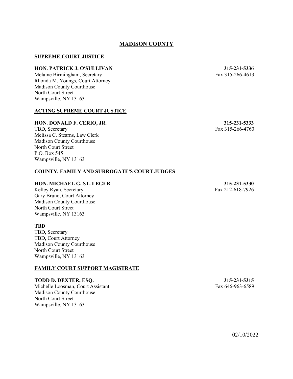## **MADISON COUNTY**

## **SUPREME COURT JUSTICE**

## **HON. PATRICK J. O'SULLIVAN 315-231-5336**

Melaine Birmingham, Secretary Fax 315-266-4613 Rhonda M. Youngs, Court Attorney Madison County Courthouse North Court Street Wampsville, NY 13163

#### **ACTING SUPREME COURT JUSTICE**

#### **HON. DONALD F. CERIO, JR. 315-231-5333**

TBD, Secretary Fax 315-266-4760 Melissa C. Stearns, Law Clerk Madison County Courthouse North Court Street P.O. Box 545 Wampsville, NY 13163

## **COUNTY, FAMILY AND SURROGATE**=**S COURT JUDGES**

#### **HON. MICHAEL G. ST. LEGER 315-231-5330**

Kelley Ryan, Secretary Fax 212-618-7926 Gary Bruno, Court Attorney Madison County Courthouse North Court Street Wampsville, NY 13163

#### **TBD**

TBD, Secretary TBD, Court Attorney Madison County Courthouse North Court Street Wampsville, NY 13163

## **FAMILY COURT SUPPORT MAGISTRATE**

**TODD D. DEXTER, ESQ. 315-231-5315**

Michelle Loosman, Court Assistant Fax 646-963-6589 Madison County Courthouse North Court Street Wampsville, NY 13163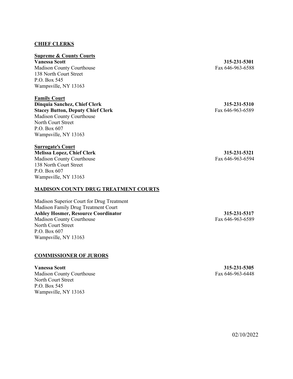## **CHIEF CLERKS**

#### **Supreme & County Courts**

**Vanessa Scott 315-231-5301** Madison County Courthouse Fax 646-963-6588 138 North Court Street P.O. Box 545 Wampsville, NY 13163

## **Family Court**

**Dinquia Sanchez, Chief Clerk 315-231-5310 Stacey Button, Deputy Chief Clerk** Fax 646-963-6589 Madison County Courthouse North Court Street P.O. Box 607 Wampsville, NY 13163

## **Surrogate's Court**

**Melissa Lopez, Chief Clerk 315-231-5321** Madison County Courthouse Fax 646-963-6594 138 North Court Street P.O. Box 607 Wampsville, NY 13163

## **MADISON COUNTY DRUG TREATMENT COURTS**

Madison Superior Court for Drug Treatment Madison Family Drug Treatment Court **Ashley Hosmer, Resource Coordinator 315-231-5317** Madison County Courthouse Fax 646-963-6589 North Court Street P.O. Box 607 Wampsville, NY 13163

## **COMMISSIONER OF JURORS**

**Vanessa Scott 315-231-5305** Madison County Courthouse Fax 646-963-6448 North Court Street P.O. Box 545 Wampsville, NY 13163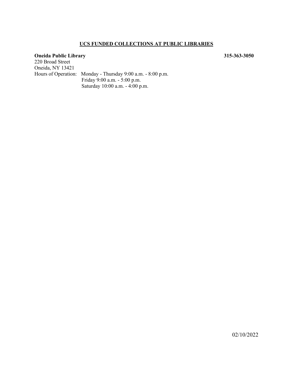## **UCS FUNDED COLLECTIONS AT PUBLIC LIBRARIES**

## **Oneida Public Library 315-363-3050**

220 Broad Street Oneida, NY 13421 Hours of Operation: Monday - Thursday 9:00 a.m. - 8:00 p.m. Friday 9:00 a.m. - 5:00 p.m. Saturday 10:00 a.m. - 4:00 p.m.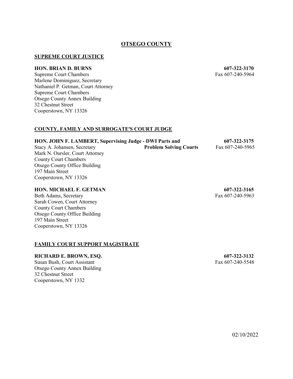## **OTSEGO COUNTY**

## **SUPREME COURT JUSTICE**

#### **HON. BRIAN D. BURNS 607-322-3170**

Supreme Court Chambers Fax 607-240-5964 Marlene Dominiguez, Secretary Nathaniel P. Getman, Court Attorney Supreme Court Chambers Otsego County Annex Building 32 Chestnut Street Cooperstown, NY 13326

## **COUNTY, FAMILY AND SURROGATE**=**S COURT JUDGE**

## **HON. JOHN F. LAMBERT, Supervising Judge - DWI Parts and 607-322-3175** Stacy A. Johansen, Secretary **Problem Solving Courts** Fax 607-240-5965 Mark N. Oursler, Court Attorney County Court Chambers Otsego County Office Building 197 Main Street Cooperstown, NY 13326

## **HON. MICHAEL F. GETMAN 607-322-3165**

Beth Adams, Secretary Fax 607-240-5963 Sarah Cowen, Court Attorney County Court Chambers Otsego County Office Building 197 Main Street Cooperstown, NY 13326

#### **FAMILY COURT SUPPORT MAGISTRATE**

#### **RICHARD E. BROWN, ESQ. 607-322-3132**

Susan Bush, Court Assistant Fax 607-240-5548 Otsego County Annex Building 32 Chestnut Street Cooperstown, NY 1332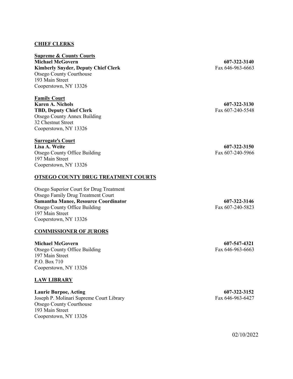## **CHIEF CLERKS**

**Supreme & County Courts Michael McGovern 607-322-3140 Kimberly Snyder, Deputy Chief Clerk** Fax 646-963-6663 Otsego County Courthouse 193 Main Street Cooperstown, NY 13326

**Family Court Karen A. Nichols 607-322-3130 TBD, Deputy Chief Clerk** Fax 607-240-5548 Otsego County Annex Building 32 Chestnut Street Cooperstown, NY 13326

## **Surrogate's Court**

**Lisa A. Weite 607-322-3150** Otsego County Office Building Fax 607-240-5966 197 Main Street Cooperstown, NY 13326

## **OTSEGO COUNTY DRUG TREATMENT COURTS**

Otsego Superior Court for Drug Treatment Otsego Family Drug Treatment Court **Samantha Manee, Resource Coordinator 607-322-3146** Otsego County Office Building Fax 607-240-5823 197 Main Street Cooperstown, NY 13326

## **COMMISSIONER OF JURORS**

**Michael McGovern 607-547-4321**

Otsego County Office Building Fax 646-963-6663 197 Main Street P.O. Box 710 Cooperstown, NY 13326

## **LAW LIBRARY**

## **Laurie Burpoe, Acting 607-322-3152**

Joseph P. Molinari Supreme Court Library Fax 646-963-6427 Otsego County Courthouse 193 Main Street Cooperstown, NY 13326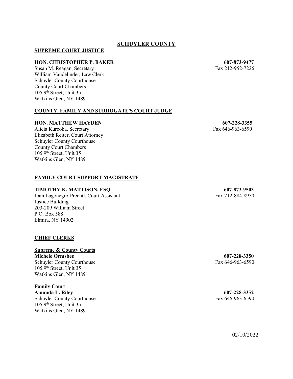## **SCHUYLER COUNTY**

## **SUPREME COURT JUSTICE**

#### **HON. CHRISTOPHER P. BAKER 607-873-9477**

Susan M. Reagan, Secretary Fax 212-952-7226 William Vandelinder, Law Clerk Schuyler County Courthouse County Court Chambers 105 9<sup>th</sup> Street, Unit 35 Watkins Glen, NY 14891

## **COUNTY, FAMILY AND SURROGATE'S COURT JUDGE**

#### **HON. MATTHEW HAYDEN** 607-228-3355

Alicia Kurcoba, Secretary Fax 646-963-6590 Elizabeth Reiter, Court Attorney Schuyler County Courthouse County Court Chambers  $1059<sup>th</sup>$  Street, Unit 35 Watkins Glen, NY 14891

## **FAMILY COURT SUPPORT MAGISTRATE**

### **TIMOTHY K. MATTISON, ESQ. 607-873-9503**

Joan Lagonegro-Prechtl, Court Assistant Fax 212-884-8950 Justice Building 203-209 William Street P.O. Box 588 Elmira, NY 14902

## **CHIEF CLERKS**

## **Supreme & County Courts**

**Michele Ormsbee 607-228-3350** Schuyler County Courthouse Fax 646-963-6590 105 9th Street, Unit 35 Watkins Glen, NY 14891

## **Family Court**

**Amanda L. Riley 607-228-3352** Schuyler County Courthouse Fax 646-963-6590 105 9th Street, Unit 35 Watkins Glen, NY 14891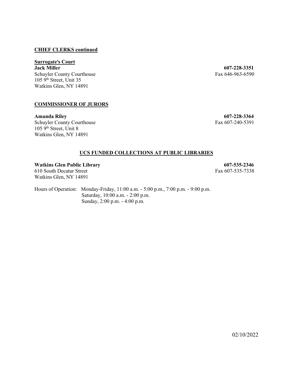## **CHIEF CLERKS continued**

# **Surrogate's Court<br>Jack Miller**

Schuyler County Courthouse  $105 \frac{\text{O}}{\text{O}}$  Street, Unit 35 Watkins Glen, NY 14891

## **COMMISSIONER OF JURORS**

**Amanda Riley 607-228-3364** Schuyler County Courthouse Fax 607-240-5391 105 9<sup>th</sup> Street, Unit 8 Watkins Glen, NY 14891

**607-228-3351**<br>Fax 646-963-6590

## **UCS FUNDED COLLECTIONS AT PUBLIC LIBRARIES**

**Watkins Glen Public Library 607-535-2346** 610 South Decatur Street Fax 607-535-7338 Watkins Glen, NY 14891

Hours of Operation: Monday-Friday, 11:00 a.m. - 5:00 p.m., 7:00 p.m. - 9:00 p.m. Saturday, 10:00 a.m. - 2:00 p.m. Sunday, 2:00 p.m. - 4:00 p.m.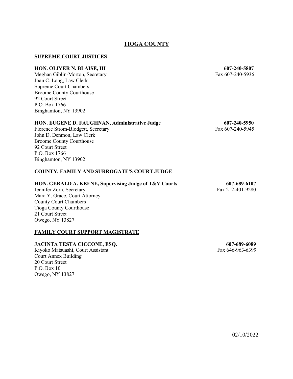## **TIOGA COUNTY**

## **SUPREME COURT JUSTICES**

#### **HON. OLIVER N. BLAISE, III 607-240-5807**

Meghan Giblin-Morton, Secretary Fax 607-240-5936 Joan C. Long, Law Clerk Supreme Court Chambers Broome County Courthouse 92 Court Street P.O. Box 1766 Binghamton, NY 13902

#### **HON. EUGENE D. FAUGHNAN, Administrative Judge 607-240-5950**

Florence Strom-Blodgett, Secretary Fax 607-240-5945 John D. Denmon, Law Clerk Broome County Courthouse 92 Court Street P.O. Box 1766 Binghamton, NY 13902

## **COUNTY, FAMILY AND SURROGATE**=**S COURT JUDGE**

#### **HON. GERALD A. KEENE, Supervising Judge of T&V Courts 607-689-6107**

Jennifer Zorn, Secretary Fax 212-401-9280 Mara Y. Grace, Court Attorney County Court Chambers Tioga County Courthouse 21 Court Street Owego, NY 13827

## **FAMILY COURT SUPPORT MAGISTRATE**

#### **JACINTA TESTA CICCONE, ESQ. 607-689-6089**

Kiyoko Matsuashi, Court Assistant Fax 646-963-6399 Court Annex Building 20 Court Street P.O. Box 10 Owego, NY 13827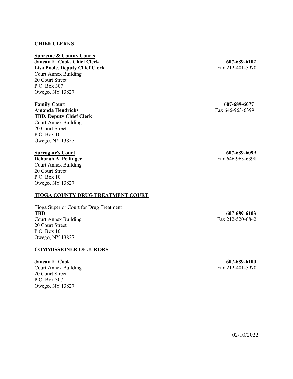## **CHIEF CLERKS**

**Supreme & County Courts Janean E. Cook, Chief Clerk 607-689-6102 Lisa Poole, Deputy Chief Clerk** Fax 212-401-5970 Court Annex Building 20 Court Street P.O. Box 307 Owego, NY 13827

**Family Court 607-689-6077 Amanda Hendricks** Fax 646-963-6399 **TBD, Deputy Chief Clerk** Court Annex Building 20 Court Street P.O. Box 10 Owego, NY 13827

**Deborah A. Pellinger** Fax 646-963-6398 Court Annex Building 20 Court Street P.O. Box 10 Owego, NY 13827

## **TIOGA COUNTY DRUG TREATMENT COURT**

Tioga Superior Court for Drug Treatment Court Annex Building Fax 212-520-6842 20 Court Street P.O. Box 10 Owego, NY 13827

## **COMMISSIONER OF JURORS**

**Janean E. Cook 607-689-6100** Court Annex Building Fax 212-401-5970 20 Court Street P.O. Box 307 Owego, NY 13827

**Surrogate's Court 607-689-6099** 

**TBD 607-689-6103**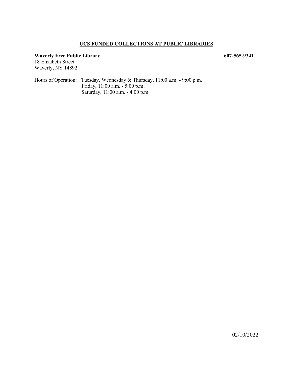## **UCS FUNDED COLLECTIONS AT PUBLIC LIBRARIES**

## **Waverly Free Public Library 607-565-9341**

18 Elizabeth Street Waverly, NY 14892

Hours of Operation: Tuesday, Wednesday & Thursday, 11:00 a.m. - 9:00 p.m. Friday, 11:00 a.m. - 5:00 p.m. Saturday, 11:00 a.m. - 4:00 p.m.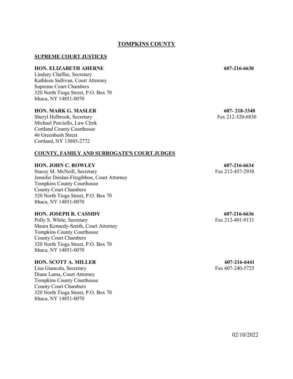## **TOMPKINS COUNTY**

## **SUPREME COURT JUSTICES**

## **HON. ELIZABETH AHERNE 607-216-6630**

Lindsey Chaffee, Secretary Kathleen Sullivan, Court Attorney Supreme Court Chambers 320 North Tioga Street, P.O. Box 70 Ithaca, NY 14851-0070

## **HON. MARK G. MASLER 607- 218-3340**

Sheryl Holbrook, Secretary Fax 212-520-6830 Michael Porciello, Law Clerk Cortland County Courthouse 46 Greenbush Street Cortland, NY 13045-2772

#### **COUNTY, FAMILY AND SURROGATE**=**S COURT JUDGES**

## **HON. JOHN C. ROWLEY 607-216-6634**

Stacey M. McNeill, Secretary Fax 212-457-2938 Jennifer Donlan-Fitzgibbon, Court Attorney Tompkins County Courthouse County Court Chambers 320 North Tioga Street, P.O. Box 70 Ithaca, NY 14851-0070

## **HON. JOSEPH R. CASSIDY 607-216-6636**

Polly S. White, Secretary Fax 212-401-9131 Maura Kennedy-Smith, Court Attorney Tompkins County Courthouse County Court Chambers 320 North Tioga Street, P.O. Box 70 Ithaca, NY 14851-0070

## **HON. SCOTT A. MILLER 607-216-6441**

Lisa Giancola, Secretary Fax 607-240-5725 Diane Lama, Court Attorney Tompkins County Courthouse County Court Chambers 320 North Tioga Street, P.O. Box 70 Ithaca, NY 14851-0070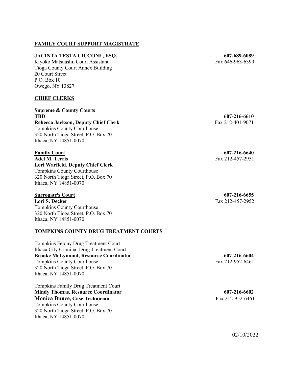## **FAMILY COURT SUPPORT MAGISTRATE**

## **JACINTA TESTA CICCONE, ESQ. 607-689-6089**

Kiyoko Matsuashi, Court Assistant Fax 646-963-6399 Tioga County Court Annex Building 20 Court Street P.O. Box 10 Owego, NY 13827

## **CHIEF CLERKS**

**Supreme & County Courts TBD 607-216-6610 Rebecca Jackson, Deputy Chief Clerk** Fax 212-401-9071 Tompkins County Courthouse 320 North Tioga Street, P.O. Box 70 Ithaca, NY 14851-0070

**Adel M. Terris** Fax 212-457-2951 **Lori Warfield, Deputy Chief Clerk** Tompkins County Courthouse 320 North Tioga Street, P.O. Box 70 Ithaca, NY 14851-0070

## **Surrogate's Court 607-216-6655**

**Lori S. Decker** Fax 212-457-2952 Tompkins County Courthouse 320 North Tioga Street, P.O. Box 70 Ithaca, NY 14851-0070

## **TOMPKINS COUNTY DRUG TREATMENT COURTS**

Tompkins Felony Drug Treatment Court Ithaca City Criminal Drug Treatment Court **Brooke McLymond, Resource Coordinator 607-216-6604** Tompkins County Courthouse Fax 212-952-6461 320 North Tioga Street, P.O. Box 70 Ithaca, NY 14851-0070

Tompkins Family Drug Treatment Court Mindy Thomas, Resource Coordinator 607-216-6602 **Monica Bunce, Case Technician** Fax 212-952-6461 Tompkins County Courthouse 320 North Tioga Street, P.O. Box 70 Ithaca, NY 14851-0070

**Family Court 607-216-6640**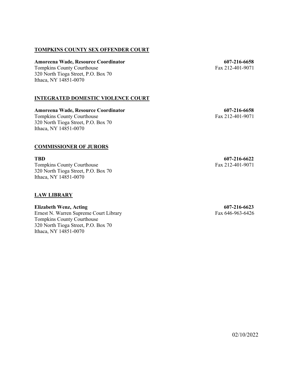## **TOMPKINS COUNTY SEX OFFENDER COURT**

## **Amoreena Wade, Resource Coordinator 607-216-6658**

Tompkins County Courthouse Fax 212-401-9071 320 North Tioga Street, P.O. Box 70 Ithaca, NY 14851-0070

## **INTEGRATED DOMESTIC VIOLENCE COURT**

**Amoreena Wade, Resource Coordinator 607-216-6658** Tompkins County Courthouse Fax 212-401-9071 320 North Tioga Street, P.O. Box 70 Ithaca, NY 14851-0070

## **COMMISSIONER OF JURORS**

Tompkins County Courthouse Fax 212-401-9071 320 North Tioga Street, P.O. Box 70 Ithaca, NY 14851-0070

## **LAW LIBRARY**

**Elizabeth Wenz, Acting 607-216-6623** Ernest N. Warren Supreme Court Library Fax 646-963-6426 Tompkins County Courthouse 320 North Tioga Street, P.O. Box 70 Ithaca, NY 14851-0070

**TBD 607-216-6622**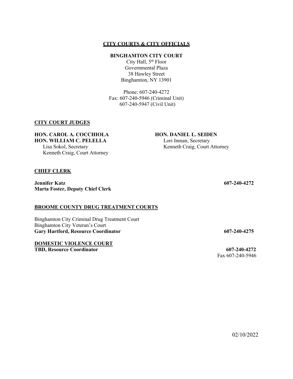## **BINGHAMTON CITY COURT**

City Hall,  $5<sup>th</sup>$  Floor Governmental Plaza 38 Hawley Street Binghamton, NY 13901

Phone: 607-240-4272 Fax: 607-240-5946 (Criminal Unit) 607-240-5947 (Civil Unit)

## **CITY COURT JUDGES**

## **HON. CAROL A. COCCHIOLA HON. DANIEL L. SEIDEN**

Lisa Sokol, Secretary Kenneth Craig, Court Attorney Kenneth Craig, Court Attorney

#### **CHIEF CLERK**

**Jennifer Katz 607-240-4272 Marta Foster, Deputy Chief Clerk**

#### **BROOME COUNTY DRUG TREATMENT COURTS**

Binghamton City Criminal Drug Treatment Court Binghamton City Veteran's Court **Gary Hartford, Resource Coordinator 607-240-4275**

**DOMESTIC VIOLENCE COURT TBD, Resource Coordinator 607-240-4272**

**HON. WILLIAM C. PELELLA** Lori Inman, Secretary

Fax 607-240-5946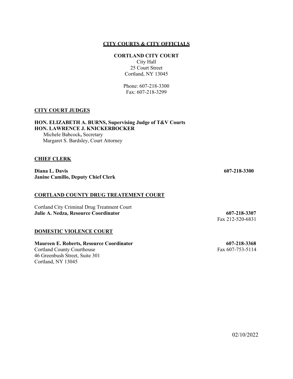### **CORTLAND CITY COURT**

City Hall 25 Court Street Cortland, NY 13045

Phone: 607-218-3300 Fax: 607-218-3299

## **CITY COURT JUDGES**

**HON. ELIZABETH A. BURNS, Supervising Judge of T&V Courts HON. LAWRENCE J. KNICKERBOCKER**

Michele Babcock**,** Secretary Margaret S. Bardsley, Court Attorney

## **CHIEF CLERK**

**Diana L. Davis 607-218-3300 Janine Camillo, Deputy Chief Clerk**

## **CORTLAND COUNTY DRUG TREATEMENT COURT**

Cortland City Criminal Drug Treatment Court **Julie A. Nedza, Resource Coordinator 607-218-3307**

## **DOMESTIC VIOLENCE COURT**

**Maureen E. Roberts, Resource Coordinator 607-218-3368** Cortland County Courthouse Fax 607-753-5114 46 Greenbush Street, Suite 301 Cortland, NY 13045

Fax 212-520-6831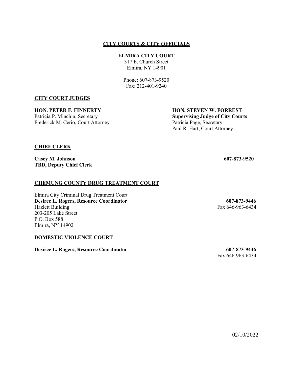## **ELMIRA CITY COURT**

317 E. Church Street Elmira, NY 14901

Phone: 607-873-9520 Fax: 212-401-9240

## **CITY COURT JUDGES**

**HON. PETER F. FINNERTY HON. STEVEN W. FORREST** Frederick M. Cerio, Court Attorney Patricia Page, Secretary

Patricia P. Minchin, Secretary **Supervising Judge of City Courts** Paul R. Hart, Court Attorney

## **CHIEF CLERK**

**Casey M. Johnson 607-873-9520 TBD, Deputy Chief Clerk**

## **CHEMUNG COUNTY DRUG TREATMENT COURT**

Elmira City Criminal Drug Treatment Court **Desiree L. Rogers, Resource Coordinator**<br>
Hazlett Building Fax 646-963-6434 203-205 Lake Street P.O. Box 588 Elmira, NY 14902

### **DOMESTIC VIOLENCE COURT**

**Desiree L. Rogers, Resource Coordinator 607-873-9446**

Fax 646-963-6434

Fax 646-963-6434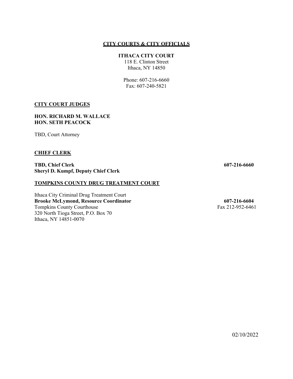## **ITHACA CITY COURT**

118 E. Clinton Street Ithaca, NY 14850

Phone: 607-216-6660 Fax: 607-240-5821

## **CITY COURT JUDGES**

## **HON. RICHARD M. WALLACE HON. SETH PEACOCK**

TBD, Court Attorney

## **CHIEF CLERK**

**TBD, Chief Clerk 607-216-6660 Sheryl D. Kumpf, Deputy Chief Clerk**

## **TOMPKINS COUNTY DRUG TREATMENT COURT**

Ithaca City Criminal Drug Treatment Court **Brooke McLymond, Resource Coordinator 607-216-6604** Tompkins County Courthouse Fax 212-952-6461 320 North Tioga Street, P.O. Box 70 Ithaca, NY 14851-0070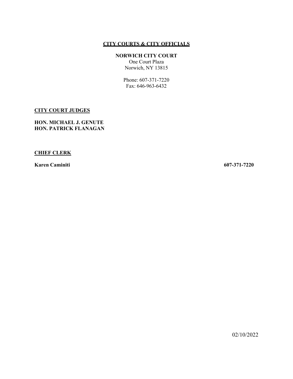## **NORWICH CITY COURT**

One Court Plaza Norwich, NY 13815

Phone: 607-371-7220 Fax: 646-963-6432

## **CITY COURT JUDGES**

**HON. MICHAEL J. GENUTE HON. PATRICK FLANAGAN**

## **CHIEF CLERK**

**Karen Caminiti 607-371-7220**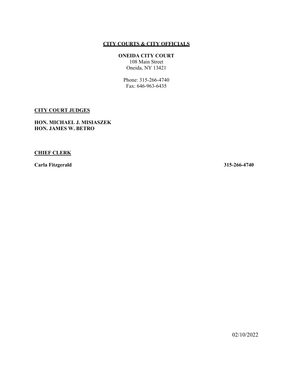## **ONEIDA CITY COURT**

108 Main Street Oneida, NY 13421

Phone: 315-266-4740 Fax: 646-963-6435

## **CITY COURT JUDGES**

**HON. MICHAEL J. MISIASZEK HON. JAMES W. BETRO**

## **CHIEF CLERK**

**Carla Fitzgerald 315-266-4740**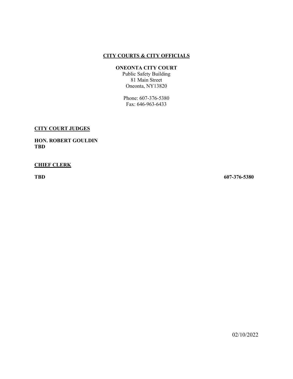## **ONEONTA CITY COURT**

Public Safety Building 81 Main Street Oneonta, NY13820

Phone: 607-376-5380 Fax: 646-963-6433

## **CITY COURT JUDGES**

**HON. ROBERT GOULDIN TBD**

## **CHIEF CLERK**

**TBD 607-376-5380**